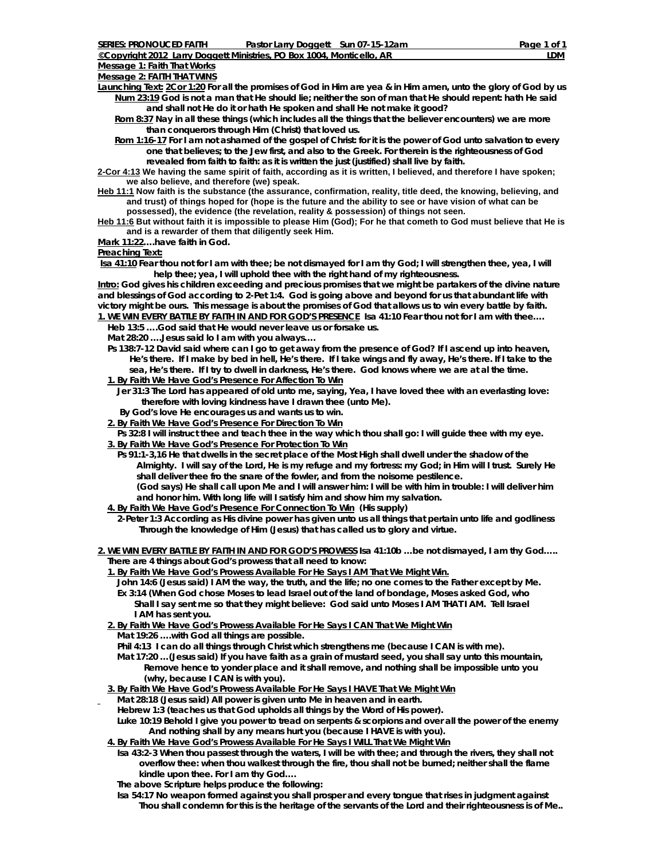**Message 1: Faith That Works**

**Launching Text: 2Cor 1:20 For all the promises of God in Him are yea & in Him amen, unto the glory of God by us Num 23:19 God is not a man that He should lie; neither the son of man that He should repent: hath He said and shall not He do it or hath He spoken and shall He not make it good?** 

 **Rom 8:37 Nay in all these things (which includes all the things that the believer encounters) we are more than conquerors through Him (Christ) that loved us.** 

 **Rom 1:16-17 For I am not ashamed of the gospel of Christ: for it is the power of God unto salvation to every one that believes; to the Jew first, and also to the Greek. For therein is the righteousness of God revealed from faith to faith: as it is written the just (justified) shall live by faith.** 

**2-Cor 4:13 We having the same spirit of faith, according as it is written, I believed, and therefore I have spoken; we also believe, and therefore (we) speak.** 

**Heb 11:1 Now faith is the substance (the assurance, confirmation, reality, title deed, the knowing, believing, and and trust) of things hoped for (hope is the future and the ability to see or have vision of what can be possessed), the evidence (the revelation, reality & possession) of things not seen.** 

**Heb 11:6 But without faith it is impossible to please Him (God); For he that cometh to God must believe that He is and is a rewarder of them that diligently seek Him.** 

**Mark 11:22….have faith in God.** 

**Preaching Text:**

**Isa 41:10 Fear thou not for I am with thee; be not dismayed for I am thy God; I will strengthen thee, yea, I will help thee; yea, I will uphold thee with the right hand of my righteousness.** 

**Intro: God gives his children exceeding and precious promises that we might be partakers of the divine nature and blessings of God according to 2-Pet 1:4. God is going above and beyond for us that abundant life with victory might be ours. This message is about the promises of God that allows us to win every battle by faith. 1. WE WIN EVERY BATTLE BY FAITH IN AND FOR GOD'S PRESENCE Isa 41:10 Fear thou not for I am with thee….** 

 **Heb 13:5 ….God said that He would never leave us or forsake us.** 

 **Mat 28:20 ….Jesus said lo I am with you always….** 

 **Ps 138:7-12 David said where can I go to get away from the presence of God? If I ascend up into heaven, He's there. If I make by bed in hell, He's there. If I take wings and fly away, He's there. If I take to the sea, He's there. If I try to dwell in darkness, He's there. God knows where we are at al the time. 1. By Faith We Have God's Presence For Affection To Win**

 **Jer 31:3 The Lord has appeared of old unto me, saying, Yea, I have loved thee with an everlasting love: therefore with loving kindness have I drawn thee (unto Me).** 

*By God's love He encourages us and wants us to win.* 

**2. By Faith We Have God's Presence For Direction To Win**

 **Ps 32:8 I will instruct thee and teach thee in the way which thou shall go: I will guide thee with my eye.** 

 **3. By Faith We Have God's Presence For Protection To Win**

 **Ps 91:1-3,16 He that dwells in the secret place of the Most High shall dwell under the shadow of the Almighty. I will say of the Lord, He is my refuge and my fortress: my God; in Him will I trust. Surely He shall deliver thee fro the snare of the fowler, and from the noisome pestilence. (God says) He shall call upon Me and I will answer him: I will be with him in trouble: I will deliver him and honor him. With long life will I satisfy him and show him my salvation.** 

 **4. By Faith We Have God's Presence For Connection To Win (His supply)** 

 **2-Peter 1:3 According as His divine power has given unto us all things that pertain unto life and godliness Through the knowledge of Him (Jesus) that has called us to glory and virtue.** 

**2. WE WIN EVERY BATTLE BY FAITH IN AND FOR GOD'S PROWESS Isa 41:10b …be not dismayed, I am thy God…..** *There are 4 things about God's prowess that all need to know:* 

**1. By Faith We Have God's Prowess Available For He Says I AM That We Might Win.**

 **John 14:6 (Jesus said) I AM the way, the truth, and the life; no one comes to the Father except by Me.** 

- **Ex 3:14 (When God chose Moses to lead Israel out of the land of bondage, Moses asked God, who Shall I say sent me so that they might believe: God said unto Moses I AM THAT I AM. Tell Israel I AM has sent you.**
- **2. By Faith We Have God's Prowess Available For He Says I CAN That We Might Win**

 **Mat 19:26 ….with God all things are possible.** 

 **Phil 4:13 I can do all things through Christ which strengthens me (because I CAN is with me).** 

 **Mat 17:20 …(Jesus said) If you have faith as a grain of mustard seed, you shall say unto this mountain, Remove hence to yonder place and it shall remove, and nothing shall be impossible unto you (why, because I CAN is with you).** 

- **3. By Faith We Have God's Prowess Available For He Says I HAVE That We Might Win**
- **Mat 28:18 (Jesus said) All power is given unto Me in heaven and in earth.**

 **Hebrew 1:3 (teaches us that God upholds all things by the Word of His power).** 

 **Luke 10:19 Behold I give you power to tread on serpents & scorpions and over all the power of the enemy And nothing shall by any means hurt you (because I HAVE is with you).** 

 **4. By Faith We Have God's Prowess Available For He Says I WILL That We Might Win**

 **Isa 43:2-3 When thou passest through the waters, I will be with thee; and through the rivers, they shall not overflow thee: when thou walkest through the fire, thou shall not be burned; neither shall the flame kindle upon thee. For I am thy God….** 

*The above Scripture helps produce the following:* 

 **Isa 54:17 No weapon formed against you shall prosper and every tongue that rises in judgment against Thou shall condemn for this is the heritage of the servants of the Lord and their righteousness is of Me..**